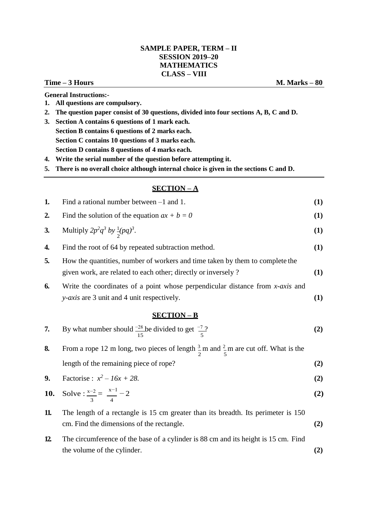## **SAMPLE PAPER, TERM – II SESSION 2019–20 MATHEMATICS CLASS – VIII**

### **Time – 3 Hours M. Marks – 80**

**General Instructions:-**

- **1. All questions are compulsory.**
- **2. The question paper consist of 30 questions, divided into four sections A, B, C and D.**
- **3. Section A contains 6 questions of 1 mark each. Section B contains 6 questions of 2 marks each. Section C contains 10 questions of 3 marks each. Section D contains 8 questions of 4 marks each.**
- **4. Write the serial number of the question before attempting it.**

**5. There is no overall choice although internal choice is given in the sections C and D.**

## **SECTION – A**

| 1.  | Find a rational number between $-1$ and 1.                                                                                                     | (1) |
|-----|------------------------------------------------------------------------------------------------------------------------------------------------|-----|
| 2.  | Find the solution of the equation $ax + b = 0$                                                                                                 | (1) |
| 3.  | Multiply $2p^2q^3$ by $\frac{1}{2}(pq)^3$ .                                                                                                    | (1) |
| 4.  | Find the root of 64 by repeated subtraction method.                                                                                            | (1) |
| 5.  | How the quantities, number of workers and time taken by them to complete the<br>given work, are related to each other; directly or inversely ? | (1) |
| 6.  | Write the coordinates of a point whose perpendicular distance from $x$ -axis and<br><i>y-axis</i> are 3 unit and 4 unit respectively.          | (1) |
|     | <b>SECTION-B</b>                                                                                                                               |     |
| 7.  | By what number should $\frac{-28}{15}$ be divided to get $\frac{-7}{5}$ ?                                                                      | (2) |
| 8.  | From a rope 12 m long, two pieces of length $\frac{3}{2}$ m and $\frac{2}{5}$ m are cut off. What is the                                       |     |
|     | length of the remaining piece of rope?                                                                                                         | (2) |
| 9.  | Factorise : $x^2 - 16x + 28$ .                                                                                                                 | (2) |
| 10. | Solve : $\frac{x-2}{2} = \frac{x-1}{4} - 2$                                                                                                    | (2) |
| 11. | The length of a rectangle is 15 cm greater than its breadth. Its perimeter is 150<br>cm. Find the dimensions of the rectangle.                 | (2) |
| 12  | The circumference of the base of a cylinder is 88 cm and its height is 15 cm. Find<br>the volume of the cylinder.                              | (2) |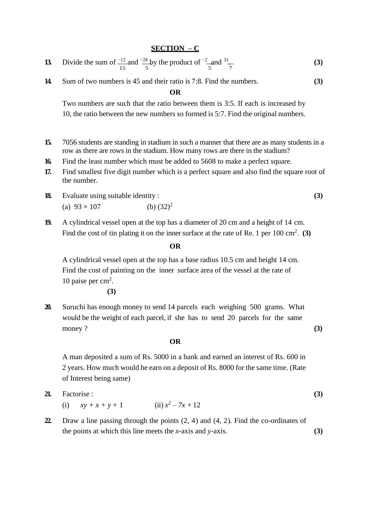# **SECTION – C**

| 13 Divide the sum of $\frac{-12}{15}$ and $\frac{-28}{5}$ by the product of $\frac{-2}{5}$ and $\frac{31}{7}$ |  |  |  |
|---------------------------------------------------------------------------------------------------------------|--|--|--|
|                                                                                                               |  |  |  |

**14.** Sum of two numbers is 45 and their ratio is 7:8. Find the numbers. **(3)**

**OR**

Two numbers are such that the ratio between them is 3:5. If each is increased by 10, the ratio between the new numbers so formed is 5:7. Find the original numbers.

- **15.** 7056 students are standing in stadium in such a manner that there are as many students in a row as there are rows in the stadium. How many rows are there in the stadium?
- **16.** Find the least number which must be added to 5608 to make a perfect square.
- **17.** Find smallest five digit number which is a perfect square and also find the square root of the number.
- **18.** Evaluate using suitable identity : **(3)** (a)  $93 \times 107$  (b)  $(32)^2$
- **19.** A cylindrical vessel open at the top has a diameter of 20 cm and a height of 14 cm. Find the cost of tin plating it on the inner surface at the rate of Re. 1 per 100 cm<sup>2</sup>. (3)

### **OR**

A cylindrical vessel open at the top has a base radius 10.5 cm and height 14 cm. Find the cost of painting on the inner surface area of the vessel at the rate of 10 paise per cm<sup>2</sup>.

**(3)**

**20.** Suruchi has enough money to send 14 parcels each weighing 500 grams. What would be the weight of each parcel, if she has to send 20 parcels for the same money ? **(3)**

### **OR**

A man deposited a sum of Rs. 5000 in a bank and earned an interest of Rs. 600 in 2 years. How much would he earn on a deposit of Rs. 8000 for the same time. (Rate of Interest being same)

| 21. Factorise :      |                      |  |
|----------------------|----------------------|--|
| (i) $xy + x + y + 1$ | (ii) $x^2 - 7x + 12$ |  |

**22.** Draw a line passing through the points (2, 4) and (4, 2). Find the co-ordinates of the points at which this line meets the *x*-axis and *y*-axis. **(3)**